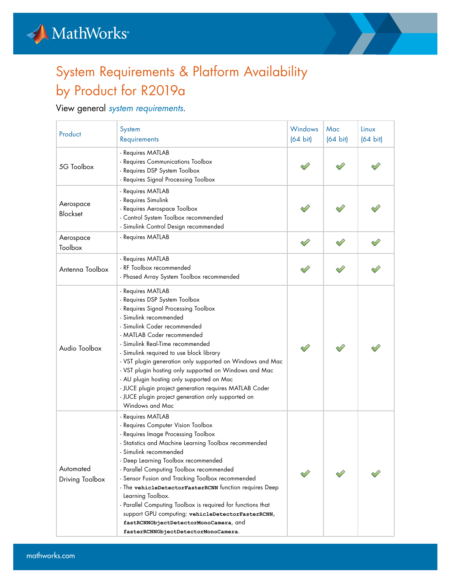



## System Requirements & Platform Availability by Product for R2019a

## View general *[system requirements](https://www.mathworks.com/support/sysreq/previous_releases.html)*.

| Product                      | System<br>Requirements                                                                                                                                                                                                                                                                                                                                                                                                                                                                                                                                                                                      | Windows<br>$(64 \text{ bit})$ | Mac<br>$(64 \text{ bit})$ | Linux<br>$(64 \text{ bit})$ |
|------------------------------|-------------------------------------------------------------------------------------------------------------------------------------------------------------------------------------------------------------------------------------------------------------------------------------------------------------------------------------------------------------------------------------------------------------------------------------------------------------------------------------------------------------------------------------------------------------------------------------------------------------|-------------------------------|---------------------------|-----------------------------|
| 5G Toolbox                   | - Requires MATLAB<br>- Requires Communications Toolbox<br>- Requires DSP System Toolbox<br>- Requires Signal Processing Toolbox                                                                                                                                                                                                                                                                                                                                                                                                                                                                             |                               |                           |                             |
| Aerospace<br>Blockset        | - Requires MATLAB<br>- Requires Simulink<br>- Requires Aerospace Toolbox<br>- Control System Toolbox recommended<br>- Simulink Control Design recommended                                                                                                                                                                                                                                                                                                                                                                                                                                                   |                               |                           |                             |
| Aerospace<br>Toolbox         | - Requires MATLAB                                                                                                                                                                                                                                                                                                                                                                                                                                                                                                                                                                                           |                               |                           |                             |
| Antenna Toolbox              | - Requires MATLAB<br>- RF Toolbox recommended<br>- Phased Array System Toolbox recommended                                                                                                                                                                                                                                                                                                                                                                                                                                                                                                                  |                               |                           |                             |
| Audio Toolbox                | - Requires MATLAB<br>- Requires DSP System Toolbox<br>- Requires Signal Processing Toolbox<br>- Simulink recommended<br>- Simulink Coder recommended<br>- MATLAB Coder recommended<br>- Simulink Real-Time recommended<br>- Simulink required to use block library<br>- VST plugin generation only supported on Windows and Mac<br>- VST plugin hosting only supported on Windows and Mac<br>- AU plugin hosting only supported on Mac<br>- JUCE plugin project generation requires MATLAB Coder<br>- JUCE plugin project generation only supported on<br>Windows and Mac                                   |                               |                           |                             |
| Automated<br>Driving Toolbox | - Requires MATLAB<br>- Requires Computer Vision Toolbox<br>- Requires Image Processing Toolbox<br>- Statistics and Machine Learning Toolbox recommended<br>- Simulink recommended<br>- Deep Learning Toolbox recommended<br>- Parallel Computing Toolbox recommended<br>- Sensor Fusion and Tracking Toolbox recommended<br>- The vehicleDetectorFasterRCNN function requires Deep<br>Learning Toolbox.<br>- Parallel Computing Toolbox is required for functions that<br>support GPU computing: vehicleDetectorFasterRCNN,<br>fastRCNNObjectDetectorMonoCamera, and<br>fasterRCNNObjectDetectorMonoCamera. |                               |                           |                             |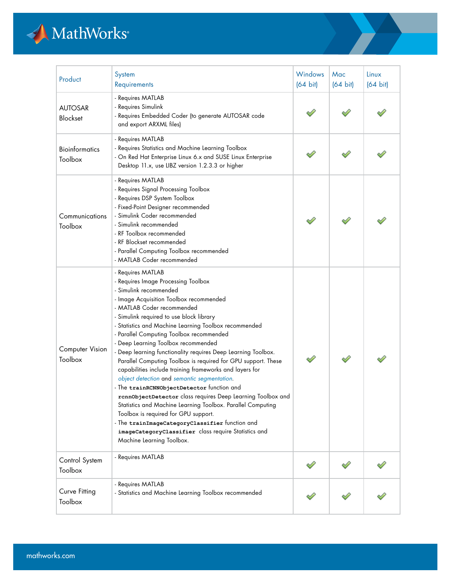## MathWorks

| Product                           | System<br>Requirements                                                                                                                                                                                                                                                                                                                                                                                                                                                                                                                                                                                                                                                                                                                                                                                                                                                                                                                                      | Windows<br>$(64 \text{ bit})$ | Mac<br>$(64 \text{ bit})$ | Linux<br>$(64 \text{ bit})$ |
|-----------------------------------|-------------------------------------------------------------------------------------------------------------------------------------------------------------------------------------------------------------------------------------------------------------------------------------------------------------------------------------------------------------------------------------------------------------------------------------------------------------------------------------------------------------------------------------------------------------------------------------------------------------------------------------------------------------------------------------------------------------------------------------------------------------------------------------------------------------------------------------------------------------------------------------------------------------------------------------------------------------|-------------------------------|---------------------------|-----------------------------|
| <b>AUTOSAR</b><br>Blockset        | - Requires MATLAB<br>- Requires Simulink<br>- Requires Embedded Coder (to generate AUTOSAR code<br>and export ARXML files)                                                                                                                                                                                                                                                                                                                                                                                                                                                                                                                                                                                                                                                                                                                                                                                                                                  |                               |                           |                             |
| <b>Bioinformatics</b><br>Toolbox  | - Requires MATLAB<br>- Requires Statistics and Machine Learning Toolbox<br>- On Red Hat Enterprise Linux 6.x and SUSE Linux Enterprise<br>Desktop 11.x, use LIBZ version 1.2.3.3 or higher                                                                                                                                                                                                                                                                                                                                                                                                                                                                                                                                                                                                                                                                                                                                                                  |                               |                           |                             |
| Communications<br>Toolbox         | - Requires MATLAB<br>- Requires Signal Processing Toolbox<br>- Requires DSP System Toolbox<br>- Fixed-Point Designer recommended<br>- Simulink Coder recommended<br>- Simulink recommended<br>- RF Toolbox recommended<br>- RF Blockset recommended<br>- Parallel Computing Toolbox recommended<br>- MATLAB Coder recommended                                                                                                                                                                                                                                                                                                                                                                                                                                                                                                                                                                                                                               |                               |                           |                             |
| <b>Computer Vision</b><br>Toolbox | - Requires MATLAB<br>- Requires Image Processing Toolbox<br>- Simulink recommended<br>- Image Acquisition Toolbox recommended<br>- MATLAB Coder recommended<br>- Simulink required to use block library<br>- Statistics and Machine Learning Toolbox recommended<br>- Parallel Computing Toolbox recommended<br>- Deep Learning Toolbox recommended<br>- Deep learning functionality requires Deep Learning Toolbox.<br>Parallel Computing Toolbox is required for GPU support. These<br>capabilities include training frameworks and layers for<br>object detection and semantic segmentation.<br>- The trainRCNNObjectDetector function and<br>rcnnObjectDetector class requires Deep Learning Toolbox and<br>Statistics and Machine Learning Toolbox. Parallel Computing<br>Toolbox is required for GPU support.<br>- The trainImageCategoryClassifier function and<br>imageCategoryClassifier class require Statistics and<br>Machine Learning Toolbox. |                               |                           |                             |
| Control System<br>Toolbox         | - Requires MATLAB                                                                                                                                                                                                                                                                                                                                                                                                                                                                                                                                                                                                                                                                                                                                                                                                                                                                                                                                           |                               |                           |                             |
| Curve Fitting<br>Toolbox          | - Requires MATLAB<br>- Statistics and Machine Learning Toolbox recommended                                                                                                                                                                                                                                                                                                                                                                                                                                                                                                                                                                                                                                                                                                                                                                                                                                                                                  |                               |                           |                             |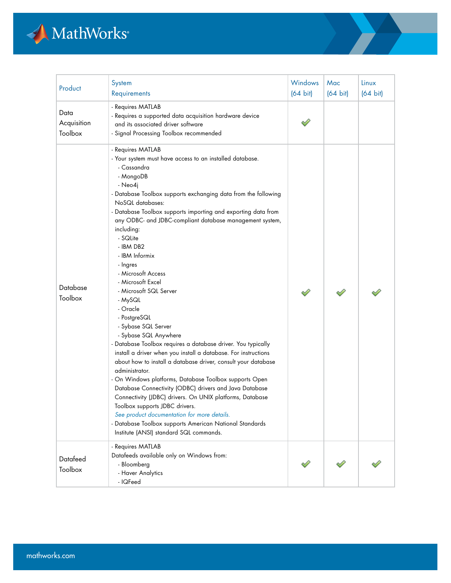

| Product                        | System<br>Requirements                                                                                                                                                                                                                                                                                                                                                                                                                                                                                                                                                                                                                                                                                                                                                                                                                                                                                                                                                                                                                                                                                                                                               | Windows<br>$(64 \text{ bit})$ | Mac<br>$(64 \text{ bit})$ | Linux<br>$(64 \text{ bit})$ |
|--------------------------------|----------------------------------------------------------------------------------------------------------------------------------------------------------------------------------------------------------------------------------------------------------------------------------------------------------------------------------------------------------------------------------------------------------------------------------------------------------------------------------------------------------------------------------------------------------------------------------------------------------------------------------------------------------------------------------------------------------------------------------------------------------------------------------------------------------------------------------------------------------------------------------------------------------------------------------------------------------------------------------------------------------------------------------------------------------------------------------------------------------------------------------------------------------------------|-------------------------------|---------------------------|-----------------------------|
| Data<br>Acquisition<br>Toolbox | - Requires MATLAB<br>- Requires a supported data acquisition hardware device<br>and its associated driver software<br>- Signal Processing Toolbox recommended                                                                                                                                                                                                                                                                                                                                                                                                                                                                                                                                                                                                                                                                                                                                                                                                                                                                                                                                                                                                        |                               |                           |                             |
| Database<br>Toolbox            | - Requires MATLAB<br>- Your system must have access to an installed database.<br>- Cassandra<br>- MongoDB<br>- Neo4j<br>- Database Toolbox supports exchanging data from the following<br>NoSQL databases:<br>- Database Toolbox supports importing and exporting data from<br>any ODBC- and JDBC-compliant database management system,<br>including:<br>- SQLite<br>- IBM DB2<br>- IBM Informix<br>- Ingres<br>- Microsoft Access<br>- Microsoft Excel<br>- Microsoft SQL Server<br>- MySQL<br>- Oracle<br>- PostgreSQL<br>- Sybase SQL Server<br>- Sybase SQL Anywhere<br>- Database Toolbox requires a database driver. You typically<br>install a driver when you install a database. For instructions<br>about how to install a database driver, consult your database<br>administrator.<br>- On Windows platforms, Database Toolbox supports Open<br>Database Connectivity (ODBC) drivers and Java Database<br>Connectivity (JDBC) drivers. On UNIX platforms, Database<br>Toolbox supports JDBC drivers.<br>See product documentation for more details.<br>- Database Toolbox supports American National Standards<br>Institute (ANSI) standard SQL commands. |                               |                           |                             |
| Datafeed<br>Toolbox            | - Requires MATLAB<br>Datafeeds available only on Windows from:<br>- Bloomberg<br>- Haver Analytics<br>- IQFeed                                                                                                                                                                                                                                                                                                                                                                                                                                                                                                                                                                                                                                                                                                                                                                                                                                                                                                                                                                                                                                                       |                               |                           |                             |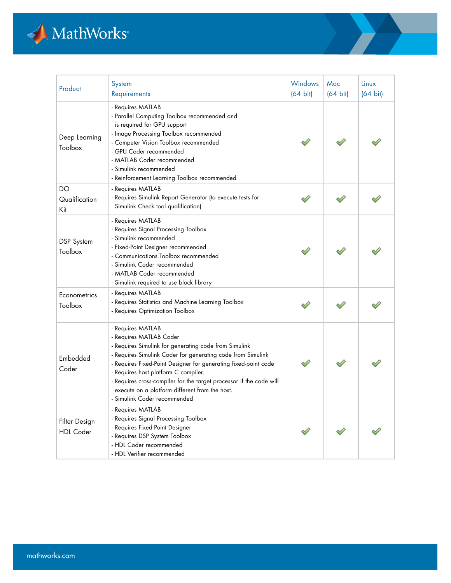

| Product                           | System<br>Requirements                                                                                                                                                                                                                                                                                                                                                                                                                   | Windows<br>$(64 \text{ bit})$ | Mac<br>$(64 \text{ bit})$ | Linux<br>$(64 \text{ bit})$ |
|-----------------------------------|------------------------------------------------------------------------------------------------------------------------------------------------------------------------------------------------------------------------------------------------------------------------------------------------------------------------------------------------------------------------------------------------------------------------------------------|-------------------------------|---------------------------|-----------------------------|
| Deep Learning<br>Toolbox          | - Requires MATLAB<br>- Parallel Computing Toolbox recommended and<br>is required for GPU support<br>- Image Processing Toolbox recommended<br>- Computer Vision Toolbox recommended<br>- GPU Coder recommended<br>- MATLAB Coder recommended<br>- Simulink recommended<br>- Reinforcement Learning Toolbox recommended                                                                                                                   |                               |                           |                             |
| DO<br>Qualification<br>Kit        | - Requires MATLAB<br>- Requires Simulink Report Generator (to execute tests for<br>Simulink Check tool qualification)                                                                                                                                                                                                                                                                                                                    |                               |                           |                             |
| DSP System<br>Toolbox             | - Requires MATLAB<br>- Requires Signal Processing Toolbox<br>- Simulink recommended<br>- Fixed-Point Designer recommended<br>- Communications Toolbox recommended<br>- Simulink Coder recommended<br>- MATLAB Coder recommended<br>- Simulink required to use block library                                                                                                                                                              |                               |                           |                             |
| Econometrics<br>Toolbox           | - Requires MATLAB<br>- Requires Statistics and Machine Learning Toolbox<br>- Requires Optimization Toolbox                                                                                                                                                                                                                                                                                                                               |                               |                           |                             |
| Embedded<br>Coder                 | - Requires MATLAB<br>- Requires MATLAB Coder<br>- Requires Simulink for generating code from Simulink<br>- Requires Simulink Coder for generating code from Simulink<br>- Requires Fixed-Point Designer for generating fixed-point code<br>- Requires host platform C compiler.<br>- Requires cross-compiler for the target processor if the code will<br>execute on a platform different from the host.<br>- Simulink Coder recommended |                               |                           |                             |
| Filter Design<br><b>HDL</b> Coder | - Requires MATLAB<br>- Requires Signal Processing Toolbox<br>- Requires Fixed-Point Designer<br>- Requires DSP System Toolbox<br>- HDL Coder recommended<br>- HDL Verifier recommended                                                                                                                                                                                                                                                   |                               |                           |                             |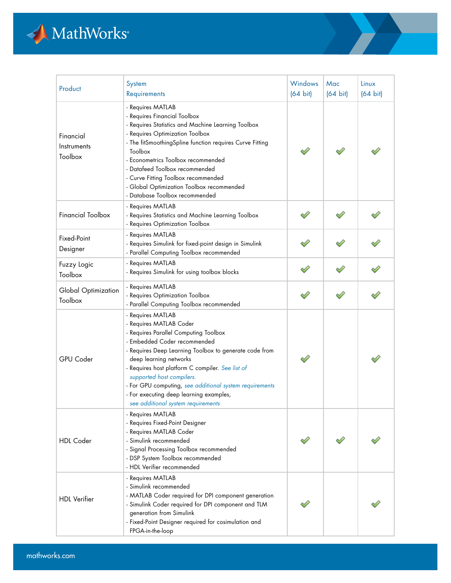

| Product                             | System<br>Requirements                                                                                                                                                                                                                                                                                                                                                                                                                 | Windows<br>$(64 \text{ bit})$ | Mac<br>$(64 \text{ bit})$ | Linux<br>$(64 \text{ bit})$ |
|-------------------------------------|----------------------------------------------------------------------------------------------------------------------------------------------------------------------------------------------------------------------------------------------------------------------------------------------------------------------------------------------------------------------------------------------------------------------------------------|-------------------------------|---------------------------|-----------------------------|
| Financial<br>Instruments<br>Toolbox | - Requires MATLAB<br>- Requires Financial Toolbox<br>- Requires Statistics and Machine Learning Toolbox<br>- Requires Optimization Toolbox<br>- The fitSmoothingSpline function requires Curve Fitting<br>Toolbox<br>- Econometrics Toolbox recommended<br>- Datafeed Toolbox recommended<br>- Curve Fitting Toolbox recommended<br>- Global Optimization Toolbox recommended<br>- Database Toolbox recommended                        |                               |                           |                             |
| <b>Financial Toolbox</b>            | - Requires MATLAB<br>- Requires Statistics and Machine Learning Toolbox<br>- Requires Optimization Toolbox                                                                                                                                                                                                                                                                                                                             |                               |                           |                             |
| Fixed-Point<br>Designer             | - Requires MATLAB<br>- Requires Simulink for fixed-point design in Simulink<br>- Parallel Computing Toolbox recommended                                                                                                                                                                                                                                                                                                                |                               |                           |                             |
| Fuzzy Logic<br>Toolbox              | - Requires MATLAB<br>- Requires Simulink for using toolbox blocks                                                                                                                                                                                                                                                                                                                                                                      |                               |                           |                             |
| Global Optimization<br>Toolbox      | - Requires MATLAB<br>- Requires Optimization Toolbox<br>- Parallel Computing Toolbox recommended                                                                                                                                                                                                                                                                                                                                       |                               |                           |                             |
| <b>GPU Coder</b>                    | - Requires MATLAB<br>- Requires MATLAB Coder<br>- Requires Parallel Computing Toolbox<br>- Embedded Coder recommended<br>- Requires Deep Learning Toolbox to generate code from<br>deep learning networks<br>- Requires host platform C compiler. See list of<br>supported host compilers.<br>- For GPU computing, see additional system requirements<br>- For executing deep learning examples,<br>see additional system requirements |                               |                           |                             |
| <b>HDL</b> Coder                    | - Requires MATLAB<br>- Requires Fixed-Point Designer<br>- Requires MATLAB Coder<br>- Simulink recommended<br>- Signal Processing Toolbox recommended<br>- DSP System Toolbox recommended<br>- HDL Verifier recommended                                                                                                                                                                                                                 |                               |                           |                             |
| <b>HDL</b> Verifier                 | - Requires MATLAB<br>- Simulink recommended<br>- MATLAB Coder required for DPI component generation<br>- Simulink Coder required for DPI component and TLM<br>generation from Simulink<br>- Fixed-Point Designer required for cosimulation and<br>FPGA-in-the-loop                                                                                                                                                                     |                               |                           |                             |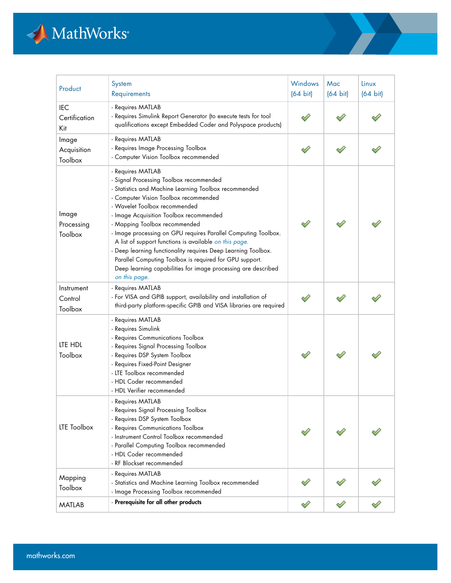

| Product                            | System<br>Requirements                                                                                                                                                                                                                                                                                                                                                                                                                                                                                                                                                                                                | Windows<br>$(64 \text{ bit})$ | Mac<br>$(64 \text{ bit})$ | Linux<br>$(64 \text{ bit})$ |
|------------------------------------|-----------------------------------------------------------------------------------------------------------------------------------------------------------------------------------------------------------------------------------------------------------------------------------------------------------------------------------------------------------------------------------------------------------------------------------------------------------------------------------------------------------------------------------------------------------------------------------------------------------------------|-------------------------------|---------------------------|-----------------------------|
| <b>IEC</b><br>Certification<br>Kit | - Requires MATLAB<br>- Requires Simulink Report Generator (to execute tests for tool<br>qualifications except Embedded Coder and Polyspace products)                                                                                                                                                                                                                                                                                                                                                                                                                                                                  |                               |                           |                             |
| Image<br>Acquisition<br>Toolbox    | - Requires MATLAB<br>- Requires Image Processing Toolbox<br>- Computer Vision Toolbox recommended                                                                                                                                                                                                                                                                                                                                                                                                                                                                                                                     |                               |                           |                             |
| Image<br>Processing<br>Toolbox     | - Requires MATLAB<br>- Signal Processing Toolbox recommended<br>- Statistics and Machine Learning Toolbox recommended<br>- Computer Vision Toolbox recommended<br>- Wavelet Toolbox recommended<br>- Image Acquisition Toolbox recommended<br>- Mapping Toolbox recommended<br>- Image processing on GPU requires Parallel Computing Toolbox.<br>A list of support functions is available on this page.<br>- Deep learning functionality requires Deep Learning Toolbox.<br>Parallel Computing Toolbox is required for GPU support.<br>Deep learning capabilities for image processing are described<br>on this page. |                               |                           |                             |
| Instrument<br>Control<br>Toolbox   | - Requires MATLAB<br>- For VISA and GPIB support, availability and installation of<br>third-party platform-specific GPIB and VISA libraries are required                                                                                                                                                                                                                                                                                                                                                                                                                                                              |                               |                           |                             |
| LTE HDL<br>Toolbox                 | - Requires MATLAB<br>- Requires Simulink<br>- Requires Communications Toolbox<br>- Requires Signal Processing Toolbox<br>- Requires DSP System Toolbox<br>- Requires Fixed-Point Designer<br>- LTE Toolbox recommended<br>- HDL Coder recommended<br>- HDL Verifier recommended                                                                                                                                                                                                                                                                                                                                       |                               |                           |                             |
| <b>LTE Toolbox</b>                 | - Requires MATLAB<br>- Requires Signal Processing Toolbox<br>- Requires DSP System Toolbox<br>- Requires Communications Toolbox<br>- Instrument Control Toolbox recommended<br>- Parallel Computing Toolbox recommended<br>- HDL Coder recommended<br>- RF Blockset recommended                                                                                                                                                                                                                                                                                                                                       |                               |                           |                             |
| Mapping<br>Toolbox                 | - Requires MATLAB<br>- Statistics and Machine Learning Toolbox recommended<br>- Image Processing Toolbox recommended                                                                                                                                                                                                                                                                                                                                                                                                                                                                                                  |                               |                           |                             |
| <b>MATLAB</b>                      | - Prerequisite for all other products                                                                                                                                                                                                                                                                                                                                                                                                                                                                                                                                                                                 |                               |                           |                             |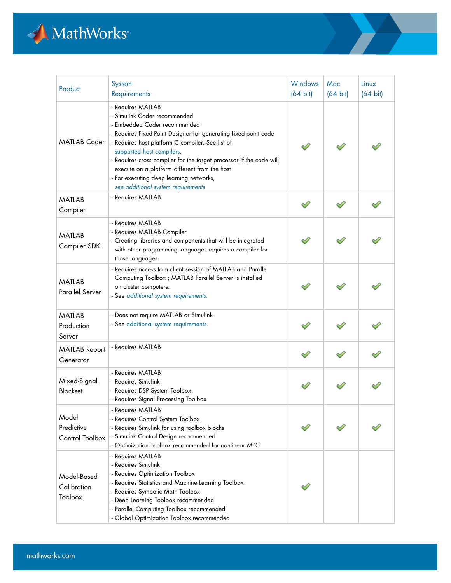

| Product                                 | System<br>Requirements                                                                                                                                                                                                                                                                                                                                                                                                                         | Windows<br>$(64 \text{ bit})$ | Mac<br>$(64 \text{ bit})$ | Linux<br>$(64 \text{ bit})$ |
|-----------------------------------------|------------------------------------------------------------------------------------------------------------------------------------------------------------------------------------------------------------------------------------------------------------------------------------------------------------------------------------------------------------------------------------------------------------------------------------------------|-------------------------------|---------------------------|-----------------------------|
| <b>MATLAB Coder</b>                     | - Requires MATLAB<br>- Simulink Coder recommended<br>- Embedded Coder recommended<br>- Requires Fixed-Point Designer for generating fixed-point code<br>- Requires host platform C compiler. See list of<br>supported host compilers.<br>- Requires cross compiler for the target processor if the code will<br>execute on a platform different from the host<br>- For executing deep learning networks,<br>see additional system requirements |                               |                           |                             |
| <b>MATLAB</b><br>Compiler               | - Requires MATLAB                                                                                                                                                                                                                                                                                                                                                                                                                              |                               |                           |                             |
| <b>MATLAB</b><br>Compiler SDK           | - Requires MATLAB<br>- Requires MATLAB Compiler<br>- Creating libraries and components that will be integrated<br>with other programming languages requires a compiler for<br>those languages.                                                                                                                                                                                                                                                 |                               |                           |                             |
| <b>MATLAB</b><br><b>Parallel Server</b> | - Requires access to a client session of MATLAB and Parallel<br>Computing Toolbox ; MATLAB Parallel Server is installed<br>on cluster computers.<br>- See additional system requirements.                                                                                                                                                                                                                                                      |                               |                           |                             |
| <b>MATLAB</b><br>Production<br>Server   | - Does not require MATLAB or Simulink<br>- See additional system requirements.                                                                                                                                                                                                                                                                                                                                                                 |                               |                           |                             |
| <b>MATLAB Report</b><br>Generator       | - Requires MATLAB                                                                                                                                                                                                                                                                                                                                                                                                                              |                               |                           |                             |
| Mixed-Signal<br>Blockset                | - Requires MATLAB<br>- Requires Simulink<br>- Requires DSP System Toolbox<br>- Requires Signal Processing Toolbox                                                                                                                                                                                                                                                                                                                              |                               |                           |                             |
| Model<br>Predictive<br>Control Toolbox  | - Requires MATLAB<br>- Requires Control System Toolbox<br>- Requires Simulink for using toolbox blocks<br>- Simulink Control Design recommended<br>- Optimization Toolbox recommended for nonlinear MPC                                                                                                                                                                                                                                        |                               |                           |                             |
| Model-Based<br>Calibration<br>Toolbox   | - Requires MATLAB<br>- Requires Simulink<br>- Requires Optimization Toolbox<br>- Requires Statistics and Machine Learning Toolbox<br>- Requires Symbolic Math Toolbox<br>- Deep Learning Toolbox recommended<br>- Parallel Computing Toolbox recommended<br>- Global Optimization Toolbox recommended                                                                                                                                          |                               |                           |                             |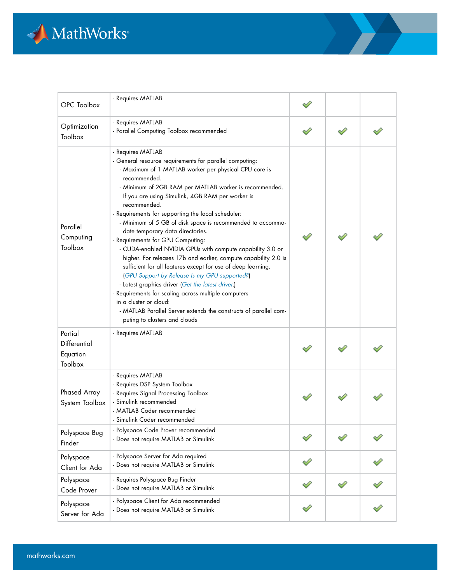

| OPC Toolbox                                    | - Requires MATLAB                                                                                                                                                                                                                                                                                                                                                                                                                                                                                                                                                                                                                                                                                                                                                                                                                                                                                                                                                             |  |  |
|------------------------------------------------|-------------------------------------------------------------------------------------------------------------------------------------------------------------------------------------------------------------------------------------------------------------------------------------------------------------------------------------------------------------------------------------------------------------------------------------------------------------------------------------------------------------------------------------------------------------------------------------------------------------------------------------------------------------------------------------------------------------------------------------------------------------------------------------------------------------------------------------------------------------------------------------------------------------------------------------------------------------------------------|--|--|
| Optimization<br>Toolbox                        | - Requires MATLAB<br>- Parallel Computing Toolbox recommended                                                                                                                                                                                                                                                                                                                                                                                                                                                                                                                                                                                                                                                                                                                                                                                                                                                                                                                 |  |  |
| Parallel<br>Computing<br>Toolbox               | - Requires MATLAB<br>- General resource requirements for parallel computing:<br>- Maximum of 1 MATLAB worker per physical CPU core is<br>recommended.<br>- Minimum of 2GB RAM per MATLAB worker is recommended.<br>If you are using Simulink, 4GB RAM per worker is<br>recommended.<br>- Requirements for supporting the local scheduler:<br>- Minimum of 5 GB of disk space is recommended to accommo-<br>date temporary data directories.<br>- Requirements for GPU Computing:<br>- CUDA-enabled NVIDIA GPUs with compute capability 3.0 or<br>higher. For releases 17b and earlier, compute capability 2.0 is<br>sufficient for all features except for use of deep learning.<br>(GPU Support by Release Is my GPU supported?)<br>- Latest graphics driver (Get the latest driver.)<br>- Requirements for scaling across multiple computers<br>in a cluster or cloud:<br>- MATLAB Parallel Server extends the constructs of parallel com-<br>puting to clusters and clouds |  |  |
| Partial<br>Differential<br>Equation<br>Toolbox | - Requires MATLAB                                                                                                                                                                                                                                                                                                                                                                                                                                                                                                                                                                                                                                                                                                                                                                                                                                                                                                                                                             |  |  |
| <b>Phased Array</b><br>System Toolbox          | - Requires MATLAB<br>- Requires DSP System Toolbox<br>- Requires Signal Processing Toolbox<br>- Simulink recommended<br>- MATLAB Coder recommended<br>- Simulink Coder recommended                                                                                                                                                                                                                                                                                                                                                                                                                                                                                                                                                                                                                                                                                                                                                                                            |  |  |
| Polyspace Bug<br>Finder                        | - Polyspace Code Prover recommended<br>- Does not require MATLAB or Simulink                                                                                                                                                                                                                                                                                                                                                                                                                                                                                                                                                                                                                                                                                                                                                                                                                                                                                                  |  |  |
| Polyspace<br>Client for Ada                    | - Polyspace Server for Ada required<br>- Does not require MATLAB or Simulink                                                                                                                                                                                                                                                                                                                                                                                                                                                                                                                                                                                                                                                                                                                                                                                                                                                                                                  |  |  |
| Polyspace<br>Code Prover                       | - Requires Polyspace Bug Finder<br>- Does not require MATLAB or Simulink                                                                                                                                                                                                                                                                                                                                                                                                                                                                                                                                                                                                                                                                                                                                                                                                                                                                                                      |  |  |
| Polyspace<br>Server for Ada                    | - Polyspace Client for Ada recommended<br>- Does not require MATLAB or Simulink                                                                                                                                                                                                                                                                                                                                                                                                                                                                                                                                                                                                                                                                                                                                                                                                                                                                                               |  |  |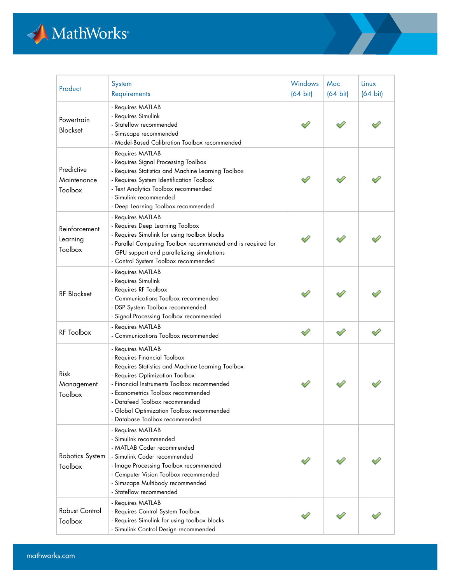

| Product                              | System<br>Requirements                                                                                                                                                                                                                                                                                                                           | <b>Windows</b><br>$(64 \text{ bit})$ | Mac<br>$(64 \text{ bit})$ | Linux<br>$(64 \text{ bit})$ |
|--------------------------------------|--------------------------------------------------------------------------------------------------------------------------------------------------------------------------------------------------------------------------------------------------------------------------------------------------------------------------------------------------|--------------------------------------|---------------------------|-----------------------------|
| Powertrain<br>Blockset               | - Requires MATLAB<br>- Requires Simulink<br>- Stateflow recommended<br>- Simscape recommended<br>- Model-Based Calibration Toolbox recommended                                                                                                                                                                                                   |                                      |                           |                             |
| Predictive<br>Maintenance<br>Toolbox | - Requires MATLAB<br>- Requires Signal Processing Toolbox<br>- Requires Statistics and Machine Learning Toolbox<br>- Requires System Identification Toolbox<br>- Text Analytics Toolbox recommended<br>- Simulink recommended<br>- Deep Learning Toolbox recommended                                                                             |                                      |                           |                             |
| Reinforcement<br>Learning<br>Toolbox | - Requires MATLAB<br>- Requires Deep Learning Toolbox<br>- Requires Simulink for using toolbox blocks<br>- Parallel Computing Toolbox recommended and is required for<br>GPU support and parallelizing simulations<br>- Control System Toolbox recommended                                                                                       |                                      |                           |                             |
| <b>RF</b> Blockset                   | - Requires MATLAB<br>- Requires Simulink<br>- Requires RF Toolbox<br>- Communications Toolbox recommended<br>- DSP System Toolbox recommended<br>- Signal Processing Toolbox recommended                                                                                                                                                         |                                      |                           |                             |
| RF Toolbox                           | - Requires MATLAB<br>- Communications Toolbox recommended                                                                                                                                                                                                                                                                                        | Í                                    |                           |                             |
| Risk<br>Management<br>Toolbox        | - Requires MATLAB<br>- Requires Financial Toolbox<br>- Requires Statistics and Machine Learning Toolbox<br>- Requires Optimization Toolbox<br>- Financial Instruments Toolbox recommended<br>- Econometrics Toolbox recommended<br>- Datafeed Toolbox recommended<br>- Global Optimization Toolbox recommended<br>- Database Toolbox recommended |                                      |                           |                             |
| Robotics System<br>Toolbox           | - Requires MATLAB<br>- Simulink recommended<br>- MATLAB Coder recommended<br>- Simulink Coder recommended<br>- Image Processing Toolbox recommended<br>- Computer Vision Toolbox recommended<br>- Simscape Multibody recommended<br>- Stateflow recommended                                                                                      |                                      |                           |                             |
| Robust Control<br>Toolbox            | - Requires MATLAB<br>- Requires Control System Toolbox<br>- Requires Simulink for using toolbox blocks<br>- Simulink Control Design recommended                                                                                                                                                                                                  |                                      |                           |                             |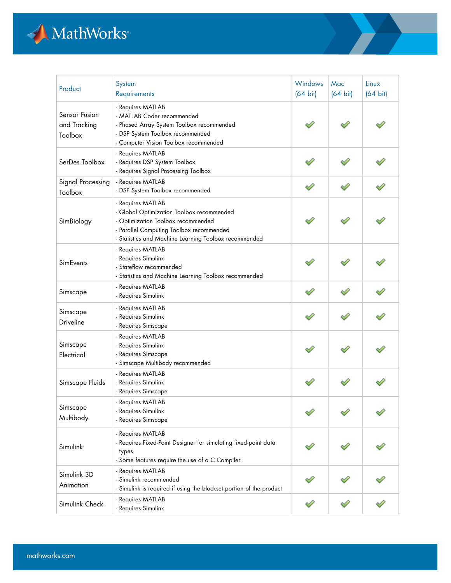

| Product                                  | System<br>Requirements                                                                                                                                                                                    | Windows<br>$(64 \text{ bit})$ | Mac<br>$(64 \text{ bit})$ | Linux<br>$(64 \text{ bit})$ |
|------------------------------------------|-----------------------------------------------------------------------------------------------------------------------------------------------------------------------------------------------------------|-------------------------------|---------------------------|-----------------------------|
| Sensor Fusion<br>and Tracking<br>Toolbox | - Requires MATLAB<br>- MATLAB Coder recommended<br>- Phased Array System Toolbox recommended<br>- DSP System Toolbox recommended<br>- Computer Vision Toolbox recommended                                 |                               |                           |                             |
| SerDes Toolbox                           | - Requires MATLAB<br>- Requires DSP System Toolbox<br>- Requires Signal Processing Toolbox                                                                                                                |                               |                           |                             |
| Signal Processing<br>Toolbox             | - Requires MATLAB<br>- DSP System Toolbox recommended                                                                                                                                                     |                               |                           |                             |
| SimBiology                               | - Requires MATLAB<br>- Global Optimization Toolbox recommended<br>- Optimization Toolbox recommended<br>- Parallel Computing Toolbox recommended<br>- Statistics and Machine Learning Toolbox recommended |                               |                           |                             |
| SimEvents                                | - Requires MATLAB<br>- Requires Simulink<br>- Stateflow recommended<br>- Statistics and Machine Learning Toolbox recommended                                                                              |                               |                           |                             |
| Simscape                                 | - Requires MATLAB<br>- Requires Simulink                                                                                                                                                                  |                               |                           |                             |
| Simscape<br>Driveline                    | - Requires MATLAB<br>- Requires Simulink<br>- Requires Simscape                                                                                                                                           |                               |                           |                             |
| Simscape<br>Electrical                   | - Requires MATLAB<br>- Requires Simulink<br>- Requires Simscape<br>- Simscape Multibody recommended                                                                                                       |                               |                           |                             |
| Simscape Fluids                          | - Requires MATLAB<br>- Requires Simulink<br>- Requires Simscape                                                                                                                                           |                               |                           |                             |
| Simscape<br>Multibody                    | - Requires MATLAB<br>- Requires Simulink<br>- Requires Simscape                                                                                                                                           |                               |                           |                             |
| Simulink                                 | - Requires MATLAB<br>- Requires Fixed-Point Designer for simulating fixed-point data<br>types<br>- Some features require the use of a C Compiler.                                                         |                               |                           |                             |
| Simulink 3D<br>Animation                 | - Requires MATLAB<br>- Simulink recommended<br>- Simulink is required if using the blockset portion of the product                                                                                        |                               |                           |                             |
| Simulink Check                           | - Requires MATLAB<br>- Requires Simulink                                                                                                                                                                  |                               |                           |                             |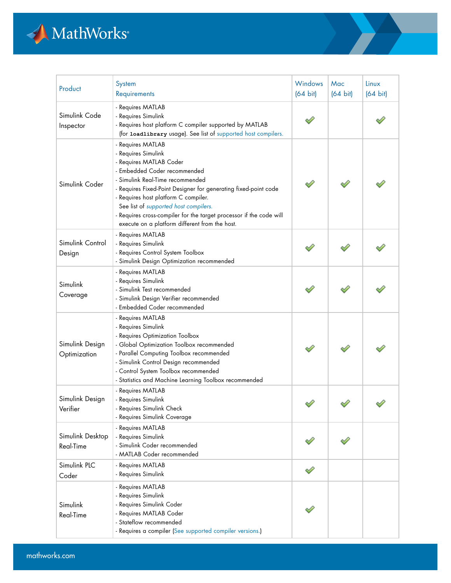

| Product                              | System<br>Requirements                                                                                                                                                                                                                                                                                                                                                                                               | Windows<br>$(64 \text{ bit})$ | Mac<br>$(64 \text{ bit})$ | Linux<br>$(64 \text{ bit})$ |
|--------------------------------------|----------------------------------------------------------------------------------------------------------------------------------------------------------------------------------------------------------------------------------------------------------------------------------------------------------------------------------------------------------------------------------------------------------------------|-------------------------------|---------------------------|-----------------------------|
| Simulink Code<br>Inspector           | - Requires MATLAB<br>- Requires Simulink<br>- Requires host platform C compiler supported by MATLAB<br>(for loadlibrary usage). See list of supported host compilers.                                                                                                                                                                                                                                                |                               |                           |                             |
| Simulink Coder                       | - Requires MATLAB<br>- Requires Simulink<br>- Requires MATLAB Coder<br>- Embedded Coder recommended<br>- Simulink Real-Time recommended<br>- Requires Fixed-Point Designer for generating fixed-point code<br>- Requires host platform C compiler.<br>See list of supported host compilers.<br>- Requires cross-compiler for the target processor if the code will<br>execute on a platform different from the host. |                               |                           |                             |
| Simulink Control<br>Design           | - Requires MATLAB<br>- Requires Simulink<br>- Requires Control System Toolbox<br>- Simulink Design Optimization recommended                                                                                                                                                                                                                                                                                          |                               |                           |                             |
| Simulink<br>Coverage                 | - Requires MATLAB<br>- Requires Simulink<br>- Simulink Test recommended<br>- Simulink Design Verifier recommended<br>- Embedded Coder recommended                                                                                                                                                                                                                                                                    |                               |                           |                             |
| Simulink Design<br>Optimization      | - Requires MATLAB<br>- Requires Simulink<br>- Requires Optimization Toolbox<br>- Global Optimization Toolbox recommended<br>- Parallel Computing Toolbox recommended<br>- Simulink Control Design recommended<br>- Control System Toolbox recommended<br>- Statistics and Machine Learning Toolbox recommended                                                                                                       |                               |                           |                             |
| Simulink Design<br>Verifier          | - Requires MATLAB<br>- Requires Simulink<br>- Requires Simulink Check<br>- Requires Simulink Coverage                                                                                                                                                                                                                                                                                                                |                               |                           |                             |
| Simulink Desktop<br><b>Real-Time</b> | - Requires MATLAB<br>- Requires Simulink<br>- Simulink Coder recommended<br>- MATLAB Coder recommended                                                                                                                                                                                                                                                                                                               |                               |                           |                             |
| Simulink PLC<br>Coder                | - Requires MATLAB<br>- Requires Simulink                                                                                                                                                                                                                                                                                                                                                                             |                               |                           |                             |
| Simulink<br>Real-Time                | - Requires MATLAB<br>- Requires Simulink<br>- Requires Simulink Coder<br>- Requires MATLAB Coder<br>- Stateflow recommended<br>- Requires a compiler (See supported compiler versions.)                                                                                                                                                                                                                              |                               |                           |                             |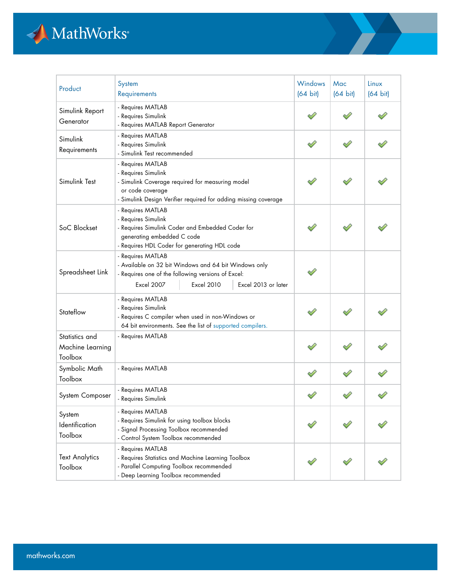

| Product                                       | System<br>Requirements                                                                                                                                                                            | <b>Windows</b><br>$(64 \text{ bit})$ | Mac<br>$(64 \text{ bit})$ | Linux<br>$(64 \text{ bit})$ |
|-----------------------------------------------|---------------------------------------------------------------------------------------------------------------------------------------------------------------------------------------------------|--------------------------------------|---------------------------|-----------------------------|
| Simulink Report<br>Generator                  | - Requires MATLAB<br>- Requires Simulink<br>- Requires MATLAB Report Generator                                                                                                                    |                                      |                           |                             |
| Simulink<br>Requirements                      | - Requires MATLAB<br>- Requires Simulink<br>- Simulink Test recommended                                                                                                                           |                                      |                           |                             |
| Simulink Test                                 | - Requires MATLAB<br>- Requires Simulink<br>- Simulink Coverage required for measuring model<br>or code coverage<br>- Simulink Design Verifier required for adding missing coverage               |                                      |                           |                             |
| SoC Blockset                                  | - Requires MATLAB<br>- Requires Simulink<br>- Requires Simulink Coder and Embedded Coder for<br>generating embedded C code<br>- Requires HDL Coder for generating HDL code                        |                                      |                           |                             |
| Spreadsheet Link                              | - Requires MATLAB<br>- Available on 32 bit Windows and 64 bit Windows only<br>- Requires one of the following versions of Excel:<br><b>Excel 2007</b><br><b>Excel 2010</b><br>Excel 2013 or later |                                      |                           |                             |
| Stateflow                                     | - Requires MATLAB<br>- Requires Simulink<br>- Requires C compiler when used in non-Windows or<br>64 bit environments. See the list of supported compilers.                                        |                                      |                           |                             |
| Statistics and<br>Machine Learning<br>Toolbox | - Requires MATLAB                                                                                                                                                                                 |                                      |                           |                             |
| Symbolic Math<br>Toolbox                      | - Requires MATLAB                                                                                                                                                                                 |                                      |                           |                             |
| System Composer                               | - Requires MATLAB<br>- Requires Simulink                                                                                                                                                          |                                      |                           |                             |
| System<br>Identification<br>Toolbox           | - Requires MATLAB<br>- Requires Simulink for using toolbox blocks<br>- Signal Processing Toolbox recommended<br>- Control System Toolbox recommended                                              |                                      |                           |                             |
| <b>Text Analytics</b><br>Toolbox              | - Requires MATLAB<br>- Requires Statistics and Machine Learning Toolbox<br>- Parallel Computing Toolbox recommended<br>- Deep Learning Toolbox recommended                                        |                                      |                           |                             |